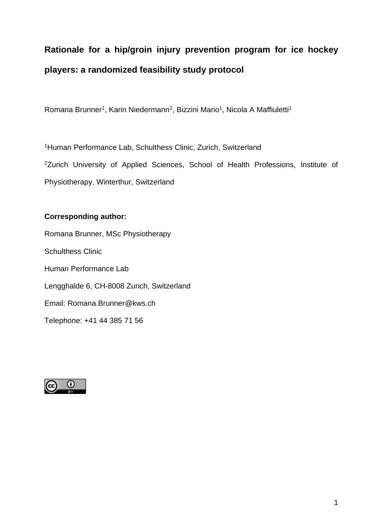# **Rationale for a hip/groin injury prevention program for ice hockey players: a randomized feasibility study protocol**

Romana Brunner<sup>1</sup>, Karin Niedermann<sup>2</sup>, Bizzini Mario<sup>1</sup>, Nicola A Maffiuletti<sup>1</sup>

<sup>1</sup>Human Performance Lab, Schulthess Clinic, Zurich, Switzerland <sup>2</sup>Zurich University of Applied Sciences, School of Health Professions, Institute of Physiotherapy, Winterthur, Switzerland

### **Corresponding author:**

Romana Brunner, MSc Physiotherapy Schulthess Clinic Human Performance Lab Lengghalde 6, CH-8008 Zurich, Switzerland Email: Romana.Brunner@kws.ch Telephone: +41 44 385 71 56

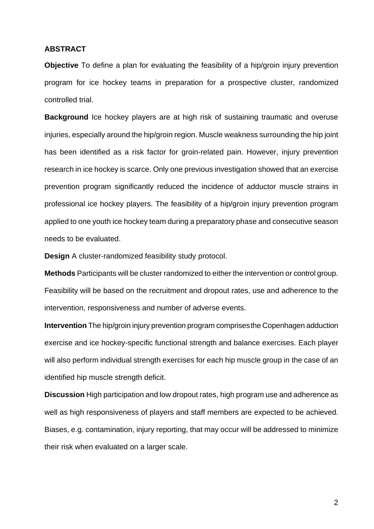#### **ABSTRACT**

**Objective** To define a plan for evaluating the feasibility of a hip/groin injury prevention program for ice hockey teams in preparation for a prospective cluster, randomized controlled trial.

**Background** Ice hockey players are at high risk of sustaining traumatic and overuse injuries, especially around the hip/groin region. Muscle weakness surrounding the hip joint has been identified as a risk factor for groin-related pain. However, injury prevention research in ice hockey is scarce. Only one previous investigation showed that an exercise prevention program significantly reduced the incidence of adductor muscle strains in professional ice hockey players. The feasibility of a hip/groin injury prevention program applied to one youth ice hockey team during a preparatory phase and consecutive season needs to be evaluated.

**Design** A cluster-randomized feasibility study protocol.

**Methods** Participants will be cluster randomized to either the intervention or control group. Feasibility will be based on the recruitment and dropout rates, use and adherence to the intervention, responsiveness and number of adverse events.

**Intervention** The hip/groin injury prevention program comprisesthe Copenhagen adduction exercise and ice hockey-specific functional strength and balance exercises. Each player will also perform individual strength exercises for each hip muscle group in the case of an identified hip muscle strength deficit.

**Discussion** High participation and low dropout rates, high program use and adherence as well as high responsiveness of players and staff members are expected to be achieved. Biases, e.g. contamination, injury reporting, that may occur will be addressed to minimize their risk when evaluated on a larger scale.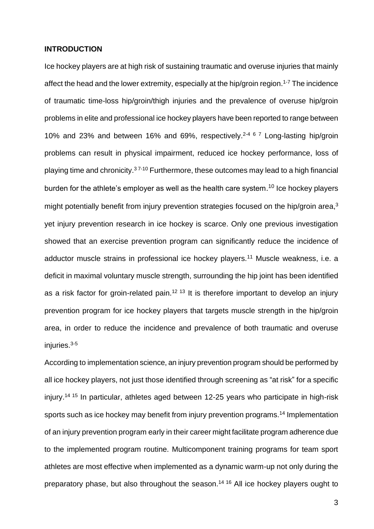#### **INTRODUCTION**

Ice hockey players are at high risk of sustaining traumatic and overuse injuries that mainly affect the head and the lower extremity, especially at the hip/groin region.<sup>1-7</sup> The incidence of traumatic time-loss hip/groin/thigh injuries and the prevalence of overuse hip/groin problems in elite and professional ice hockey players have been reported to range between 10% and 23% and between 16% and 69%, respectively. 2-4 6 7 Long-lasting hip/groin problems can result in physical impairment, reduced ice hockey performance, loss of playing time and chronicity.<sup>37-10</sup> Furthermore, these outcomes may lead to a high financial burden for the athlete's employer as well as the health care system.<sup>10</sup> Ice hockey players might potentially benefit from injury prevention strategies focused on the hip/groin area,<sup>3</sup> yet injury prevention research in ice hockey is scarce. Only one previous investigation showed that an exercise prevention program can significantly reduce the incidence of adductor muscle strains in professional ice hockey players.<sup>11</sup> Muscle weakness, i.e. a deficit in maximal voluntary muscle strength, surrounding the hip joint has been identified as a risk factor for groin-related pain.<sup>12 13</sup> It is therefore important to develop an injury prevention program for ice hockey players that targets muscle strength in the hip/groin area, in order to reduce the incidence and prevalence of both traumatic and overuse injuries. 3-5

According to implementation science, an injury prevention program should be performed by all ice hockey players, not just those identified through screening as "at risk" for a specific injury.14 15 In particular, athletes aged between 12-25 years who participate in high-risk sports such as ice hockey may benefit from injury prevention programs.<sup>14</sup> Implementation of an injury prevention program early in their career might facilitate program adherence due to the implemented program routine. Multicomponent training programs for team sport athletes are most effective when implemented as a dynamic warm-up not only during the preparatory phase, but also throughout the season.<sup>14 16</sup> All ice hockey players ought to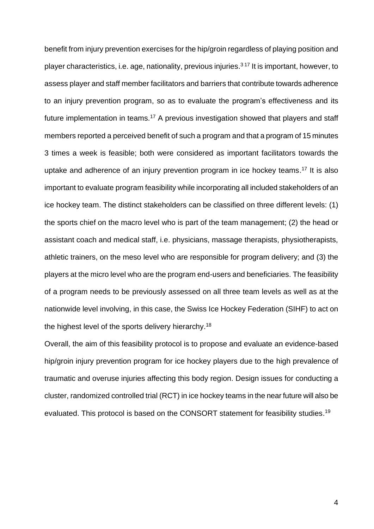benefit from injury prevention exercises for the hip/groin regardless of playing position and player characteristics, i.e. age, nationality, previous injuries. 3 17 It is important, however, to assess player and staff member facilitators and barriers that contribute towards adherence to an injury prevention program, so as to evaluate the program's effectiveness and its future implementation in teams.<sup>17</sup> A previous investigation showed that players and staff members reported a perceived benefit of such a program and that a program of 15 minutes 3 times a week is feasible; both were considered as important facilitators towards the uptake and adherence of an injury prevention program in ice hockey teams. <sup>17</sup> It is also important to evaluate program feasibility while incorporating all included stakeholders of an ice hockey team. The distinct stakeholders can be classified on three different levels: (1) the sports chief on the macro level who is part of the team management; (2) the head or assistant coach and medical staff, i.e. physicians, massage therapists, physiotherapists, athletic trainers, on the meso level who are responsible for program delivery; and (3) the players at the micro level who are the program end-users and beneficiaries. The feasibility of a program needs to be previously assessed on all three team levels as well as at the nationwide level involving, in this case, the Swiss Ice Hockey Federation (SIHF) to act on the highest level of the sports delivery hierarchy.<sup>18</sup>

Overall, the aim of this feasibility protocol is to propose and evaluate an evidence-based hip/groin injury prevention program for ice hockey players due to the high prevalence of traumatic and overuse injuries affecting this body region. Design issues for conducting a cluster, randomized controlled trial (RCT) in ice hockey teams in the near future will also be evaluated. This protocol is based on the CONSORT statement for feasibility studies.<sup>19</sup>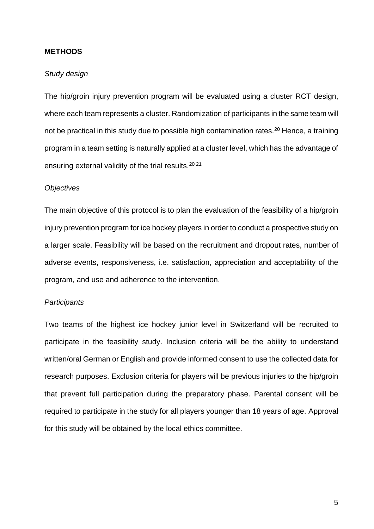#### **METHODS**

#### *Study design*

The hip/groin injury prevention program will be evaluated using a cluster RCT design, where each team represents a cluster. Randomization of participants in the same team will not be practical in this study due to possible high contamination rates.<sup>20</sup> Hence, a training program in a team setting is naturally applied at a cluster level, which has the advantage of ensuring external validity of the trial results.20 21

#### *Objectives*

The main objective of this protocol is to plan the evaluation of the feasibility of a hip/groin injury prevention program for ice hockey players in order to conduct a prospective study on a larger scale. Feasibility will be based on the recruitment and dropout rates, number of adverse events, responsiveness, i.e. satisfaction, appreciation and acceptability of the program, and use and adherence to the intervention.

#### *Participants*

Two teams of the highest ice hockey junior level in Switzerland will be recruited to participate in the feasibility study. Inclusion criteria will be the ability to understand written/oral German or English and provide informed consent to use the collected data for research purposes. Exclusion criteria for players will be previous injuries to the hip/groin that prevent full participation during the preparatory phase. Parental consent will be required to participate in the study for all players younger than 18 years of age. Approval for this study will be obtained by the local ethics committee.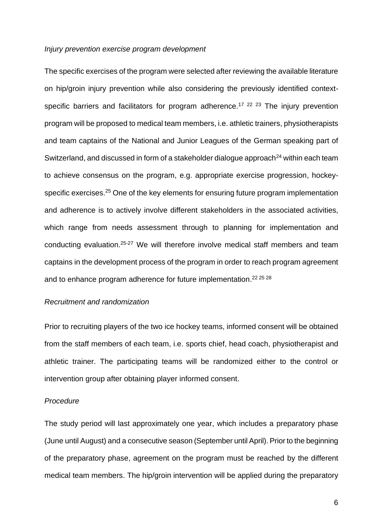#### *Injury prevention exercise program development*

The specific exercises of the program were selected after reviewing the available literature on hip/groin injury prevention while also considering the previously identified contextspecific barriers and facilitators for program adherence.<sup>17 22 23</sup> The injury prevention program will be proposed to medical team members, i.e. athletic trainers, physiotherapists and team captains of the National and Junior Leagues of the German speaking part of Switzerland, and discussed in form of a stakeholder dialogue approach $^{24}$  within each team to achieve consensus on the program, e.g. appropriate exercise progression, hockeyspecific exercises.<sup>25</sup> One of the key elements for ensuring future program implementation and adherence is to actively involve different stakeholders in the associated activities, which range from needs assessment through to planning for implementation and conducting evaluation.<sup>25-27</sup> We will therefore involve medical staff members and team captains in the development process of the program in order to reach program agreement and to enhance program adherence for future implementation.<sup>22 25</sup> 28

#### *Recruitment and randomization*

Prior to recruiting players of the two ice hockey teams, informed consent will be obtained from the staff members of each team, i.e. sports chief, head coach, physiotherapist and athletic trainer. The participating teams will be randomized either to the control or intervention group after obtaining player informed consent.

#### *Procedure*

The study period will last approximately one year, which includes a preparatory phase (June until August) and a consecutive season (September until April). Prior to the beginning of the preparatory phase, agreement on the program must be reached by the different medical team members. The hip/groin intervention will be applied during the preparatory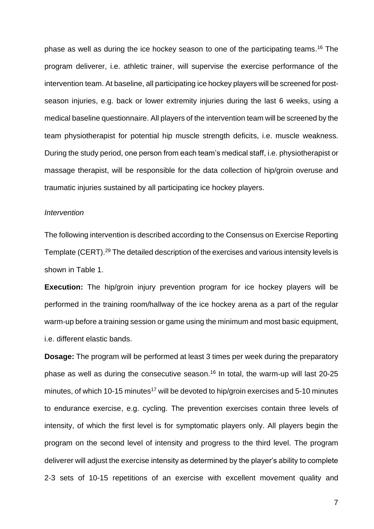phase as well as during the ice hockey season to one of the participating teams. <sup>16</sup> The program deliverer, i.e. athletic trainer, will supervise the exercise performance of the intervention team. At baseline, all participating ice hockey players will be screened for postseason injuries, e.g. back or lower extremity injuries during the last 6 weeks, using a medical baseline questionnaire. All players of the intervention team will be screened by the team physiotherapist for potential hip muscle strength deficits, i.e. muscle weakness. During the study period, one person from each team's medical staff, i.e. physiotherapist or massage therapist, will be responsible for the data collection of hip/groin overuse and traumatic injuries sustained by all participating ice hockey players.

#### *Intervention*

The following intervention is described according to the Consensus on Exercise Reporting Template (CERT).<sup>29</sup> The detailed description of the exercises and various intensity levels is shown in Table 1.

**Execution:** The hip/groin injury prevention program for ice hockey players will be performed in the training room/hallway of the ice hockey arena as a part of the regular warm-up before a training session or game using the minimum and most basic equipment, i.e. different elastic bands.

**Dosage:** The program will be performed at least 3 times per week during the preparatory phase as well as during the consecutive season. <sup>16</sup> In total, the warm-up will last 20-25 minutes, of which 10-15 minutes<sup>17</sup> will be devoted to hip/groin exercises and 5-10 minutes to endurance exercise, e.g. cycling. The prevention exercises contain three levels of intensity, of which the first level is for symptomatic players only. All players begin the program on the second level of intensity and progress to the third level. The program deliverer will adjust the exercise intensity as determined by the player's ability to complete 2-3 sets of 10-15 repetitions of an exercise with excellent movement quality and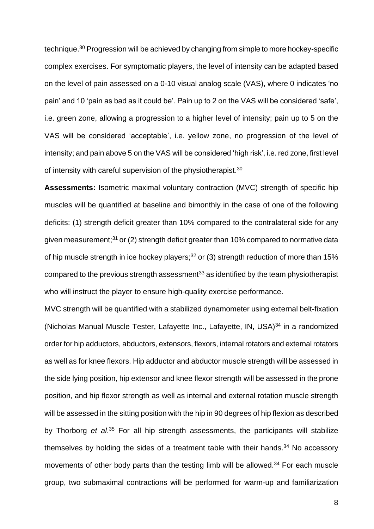technique.<sup>30</sup> Progression will be achieved by changing from simple to more hockey-specific complex exercises. For symptomatic players, the level of intensity can be adapted based on the level of pain assessed on a 0-10 visual analog scale (VAS), where 0 indicates 'no pain' and 10 'pain as bad as it could be'. Pain up to 2 on the VAS will be considered 'safe', i.e. green zone, allowing a progression to a higher level of intensity; pain up to 5 on the VAS will be considered 'acceptable', i.e. yellow zone, no progression of the level of intensity; and pain above 5 on the VAS will be considered 'high risk', i.e. red zone, first level of intensity with careful supervision of the physiotherapist.<sup>30</sup>

**Assessments:** Isometric maximal voluntary contraction (MVC) strength of specific hip muscles will be quantified at baseline and bimonthly in the case of one of the following deficits: (1) strength deficit greater than 10% compared to the contralateral side for any given measurement;<sup>31</sup> or (2) strength deficit greater than 10% compared to normative data of hip muscle strength in ice hockey players; $32$  or (3) strength reduction of more than 15% compared to the previous strength assessment<sup>33</sup> as identified by the team physiotherapist who will instruct the player to ensure high-quality exercise performance.

MVC strength will be quantified with a stabilized dynamometer using external belt-fixation (Nicholas Manual Muscle Tester, Lafayette Inc., Lafayette, IN, USA)<sup>34</sup> in a randomized order for hip adductors, abductors, extensors, flexors, internal rotators and external rotators as well as for knee flexors. Hip adductor and abductor muscle strength will be assessed in the side lying position, hip extensor and knee flexor strength will be assessed in the prone position, and hip flexor strength as well as internal and external rotation muscle strength will be assessed in the sitting position with the hip in 90 degrees of hip flexion as described by Thorborg *et al*. <sup>35</sup> For all hip strength assessments, the participants will stabilize themselves by holding the sides of a treatment table with their hands. $34$  No accessory movements of other body parts than the testing limb will be allowed.<sup>34</sup> For each muscle group, two submaximal contractions will be performed for warm-up and familiarization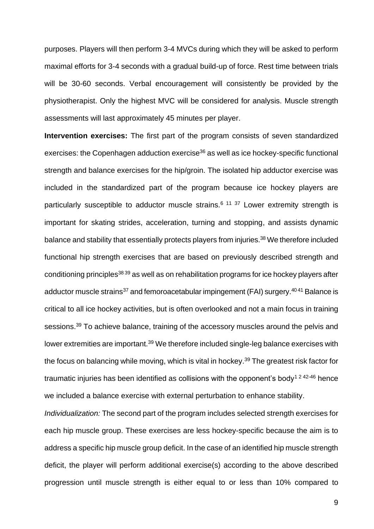purposes. Players will then perform 3-4 MVCs during which they will be asked to perform maximal efforts for 3-4 seconds with a gradual build-up of force. Rest time between trials will be 30-60 seconds. Verbal encouragement will consistently be provided by the physiotherapist. Only the highest MVC will be considered for analysis. Muscle strength assessments will last approximately 45 minutes per player.

**Intervention exercises:** The first part of the program consists of seven standardized exercises: the Copenhagen adduction exercise<sup>36</sup> as well as ice hockey-specific functional strength and balance exercises for the hip/groin. The isolated hip adductor exercise was included in the standardized part of the program because ice hockey players are particularly susceptible to adductor muscle strains.<sup>6 11 37</sup> Lower extremity strength is important for skating strides, acceleration, turning and stopping, and assists dynamic balance and stability that essentially protects players from injuries.<sup>38</sup> We therefore included functional hip strength exercises that are based on previously described strength and conditioning principles38 39 as well as on rehabilitation programs for ice hockey players after adductor muscle strains<sup>37</sup> and femoroacetabular impingement (FAI) surgery.<sup>4041</sup> Balance is critical to all ice hockey activities, but is often overlooked and not a main focus in training sessions.<sup>39</sup> To achieve balance, training of the accessory muscles around the pelvis and lower extremities are important.<sup>39</sup> We therefore included single-leg balance exercises with the focus on balancing while moving, which is vital in hockey.<sup>39</sup> The greatest risk factor for traumatic injuries has been identified as collisions with the opponent's body<sup>1 2 42-46</sup> hence we included a balance exercise with external perturbation to enhance stability.

*Individualization:* The second part of the program includes selected strength exercises for each hip muscle group. These exercises are less hockey-specific because the aim is to address a specific hip muscle group deficit. In the case of an identified hip muscle strength deficit, the player will perform additional exercise(s) according to the above described progression until muscle strength is either equal to or less than 10% compared to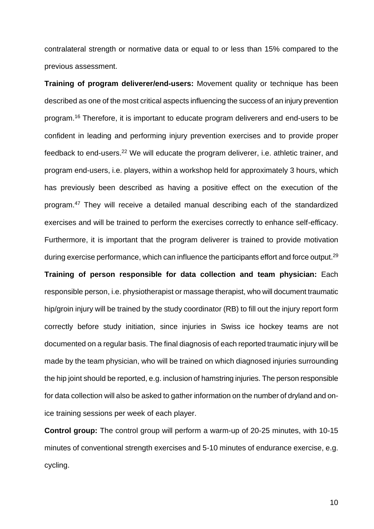contralateral strength or normative data or equal to or less than 15% compared to the previous assessment.

**Training of program deliverer/end-users:** Movement quality or technique has been described as one of the most critical aspects influencing the success of an injury prevention program. <sup>16</sup> Therefore, it is important to educate program deliverers and end-users to be confident in leading and performing injury prevention exercises and to provide proper feedback to end-users.<sup>22</sup> We will educate the program deliverer, i.e. athletic trainer, and program end-users, i.e. players, within a workshop held for approximately 3 hours, which has previously been described as having a positive effect on the execution of the program.<sup>47</sup> They will receive a detailed manual describing each of the standardized exercises and will be trained to perform the exercises correctly to enhance self-efficacy. Furthermore, it is important that the program deliverer is trained to provide motivation during exercise performance, which can influence the participants effort and force output.<sup>29</sup> **Training of person responsible for data collection and team physician:** Each

responsible person, i.e. physiotherapist or massage therapist, who will document traumatic hip/groin injury will be trained by the study coordinator (RB) to fill out the injury report form correctly before study initiation, since injuries in Swiss ice hockey teams are not documented on a regular basis. The final diagnosis of each reported traumatic injury will be made by the team physician, who will be trained on which diagnosed injuries surrounding the hip joint should be reported, e.g. inclusion of hamstring injuries. The person responsible for data collection will also be asked to gather information on the number of dryland and onice training sessions per week of each player.

**Control group:** The control group will perform a warm-up of 20-25 minutes, with 10-15 minutes of conventional strength exercises and 5-10 minutes of endurance exercise, e.g. cycling.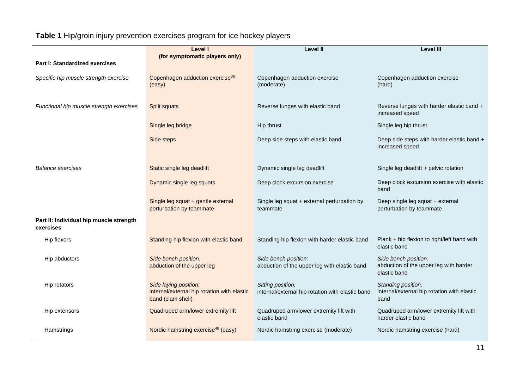## **Table 1** Hip/groin injury prevention exercises program for ice hockey players

|                                                      | Level I                                                                                   | <b>Level II</b>                                                       | <b>Level III</b>                                                               |
|------------------------------------------------------|-------------------------------------------------------------------------------------------|-----------------------------------------------------------------------|--------------------------------------------------------------------------------|
| <b>Part I: Standardized exercises</b>                | (for symptomatic players only)                                                            |                                                                       |                                                                                |
| Specific hip muscle strength exercise                | Copenhagen adduction exercise <sup>36</sup><br>(easy)                                     | Copenhagen adduction exercise<br>(moderate)                           | Copenhagen adduction exercise<br>(hard)                                        |
| Functional hip muscle strength exercises             | Split squats                                                                              | Reverse lunges with elastic band                                      | Reverse lunges with harder elastic band +<br>increased speed                   |
|                                                      | Single leg bridge                                                                         | Hip thrust                                                            | Single leg hip thrust                                                          |
|                                                      | Side steps                                                                                | Deep side steps with elastic band                                     | Deep side steps with harder elastic band +<br>increased speed                  |
| <b>Balance exercises</b>                             | Static single leg deadlift                                                                | Dynamic single leg deadlift                                           | Single leg deadlift + pelvic rotation                                          |
|                                                      | Dynamic single leg squats                                                                 | Deep clock excursion exercise                                         | Deep clock excursion exercise with elastic<br>band                             |
|                                                      | Single leg squat + gentle external<br>perturbation by teammate                            | Single leg squat + external perturbation by<br>teammate               | Deep single leg squat + external<br>perturbation by teammate                   |
| Part II: Individual hip muscle strength<br>exercises |                                                                                           |                                                                       |                                                                                |
| Hip flexors                                          | Standing hip flexion with elastic band                                                    | Standing hip flexion with harder elastic band                         | Plank + hip flexion to right/left hand with<br>elastic band                    |
| Hip abductors                                        | Side bench position:<br>abduction of the upper leg                                        | Side bench position:<br>abduction of the upper leg with elastic band  | Side bench position:<br>abduction of the upper leg with harder<br>elastic band |
| Hip rotators                                         | Side laying position:<br>internal/external hip rotation with elastic<br>band (clam shell) | Sitting position:<br>internal/external hip rotation with elastic band | Standing position:<br>internal/external hip rotation with elastic<br>band      |
| Hip extensors                                        | Quadruped arm/lower extremity lift                                                        | Quadruped arm/lower extremity lift with<br>elastic band               | Quadruped arm/lower extremity lift with<br>harder elastic band                 |
| Hamstrings                                           | Nordic hamstring exercise <sup>48</sup> (easy)                                            | Nordic hamstring exercise (moderate)                                  | Nordic hamstring exercise (hard)                                               |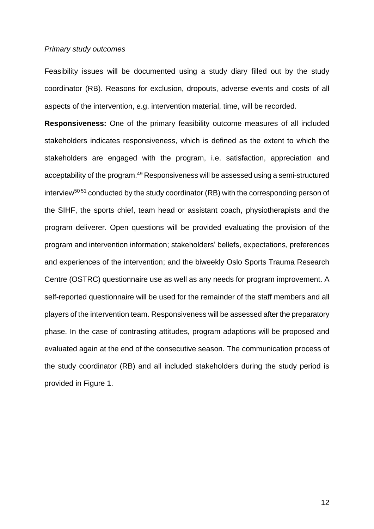#### *Primary study outcomes*

Feasibility issues will be documented using a study diary filled out by the study coordinator (RB). Reasons for exclusion, dropouts, adverse events and costs of all aspects of the intervention, e.g. intervention material, time, will be recorded.

**Responsiveness:** One of the primary feasibility outcome measures of all included stakeholders indicates responsiveness, which is defined as the extent to which the stakeholders are engaged with the program, i.e. satisfaction, appreciation and acceptability of the program.<sup>49</sup> Responsiveness will be assessed using a semi-structured interview<sup>50 51</sup> conducted by the study coordinator (RB) with the corresponding person of the SIHF, the sports chief, team head or assistant coach, physiotherapists and the program deliverer. Open questions will be provided evaluating the provision of the program and intervention information; stakeholders' beliefs, expectations, preferences and experiences of the intervention; and the biweekly Oslo Sports Trauma Research Centre (OSTRC) questionnaire use as well as any needs for program improvement. A self-reported questionnaire will be used for the remainder of the staff members and all players of the intervention team. Responsiveness will be assessed after the preparatory phase. In the case of contrasting attitudes, program adaptions will be proposed and evaluated again at the end of the consecutive season. The communication process of the study coordinator (RB) and all included stakeholders during the study period is provided in Figure 1.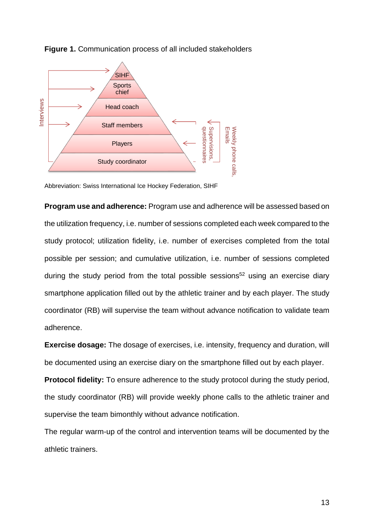

**Figure 1.** Communication process of all included stakeholders

Abbreviation: Swiss International Ice Hockey Federation, SIHF

**Program use and adherence:** Program use and adherence will be assessed based on the utilization frequency, i.e. number of sessions completed each week compared to the study protocol; utilization fidelity, i.e. number of exercises completed from the total possible per session; and cumulative utilization, i.e. number of sessions completed during the study period from the total possible sessions<sup>52</sup> using an exercise diary smartphone application filled out by the athletic trainer and by each player. The study coordinator (RB) will supervise the team without advance notification to validate team adherence.

**Exercise dosage:** The dosage of exercises, i.e. intensity, frequency and duration, will be documented using an exercise diary on the smartphone filled out by each player.

**Protocol fidelity:** To ensure adherence to the study protocol during the study period, the study coordinator (RB) will provide weekly phone calls to the athletic trainer and supervise the team bimonthly without advance notification.

The regular warm-up of the control and intervention teams will be documented by the athletic trainers.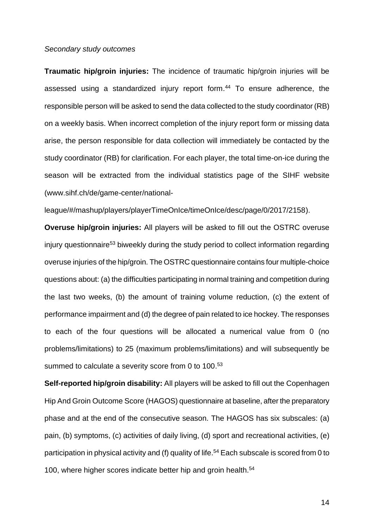#### *Secondary study outcomes*

**Traumatic hip/groin injuries:** The incidence of traumatic hip/groin injuries will be assessed using a standardized injury report form. <sup>44</sup> To ensure adherence, the responsible person will be asked to send the data collected to the study coordinator (RB) on a weekly basis. When incorrect completion of the injury report form or missing data arise, the person responsible for data collection will immediately be contacted by the study coordinator (RB) for clarification. For each player, the total time-on-ice during the season will be extracted from the individual statistics page of the SIHF website (www.sihf.ch/de/game-center/national-

league/#/mashup/players/playerTimeOnIce/timeOnIce/desc/page/0/2017/2158).

**Overuse hip/groin injuries:** All players will be asked to fill out the OSTRC overuse injury questionnaire<sup>53</sup> biweekly during the study period to collect information regarding overuse injuries of the hip/groin. The OSTRC questionnaire contains four multiple-choice questions about: (a) the difficulties participating in normal training and competition during the last two weeks, (b) the amount of training volume reduction, (c) the extent of performance impairment and (d) the degree of pain related to ice hockey. The responses to each of the four questions will be allocated a numerical value from 0 (no problems/limitations) to 25 (maximum problems/limitations) and will subsequently be summed to calculate a severity score from 0 to 100.<sup>53</sup>

**Self-reported hip/groin disability:** All players will be asked to fill out the Copenhagen Hip And Groin Outcome Score (HAGOS) questionnaire at baseline, after the preparatory phase and at the end of the consecutive season. The HAGOS has six subscales: (a) pain, (b) symptoms, (c) activities of daily living, (d) sport and recreational activities, (e) participation in physical activity and (f) quality of life. <sup>54</sup> Each subscale is scored from 0 to 100, where higher scores indicate better hip and groin health. 54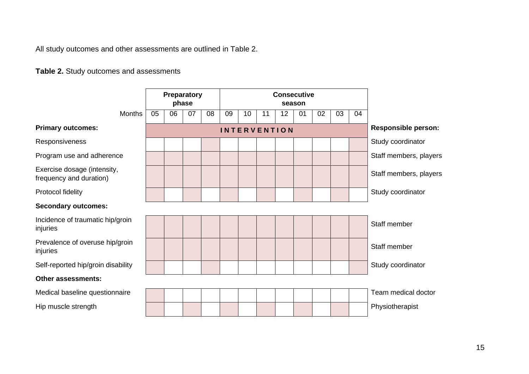All study outcomes and other assessments are outlined in Table 2.

**Table 2.** Study outcomes and assessments

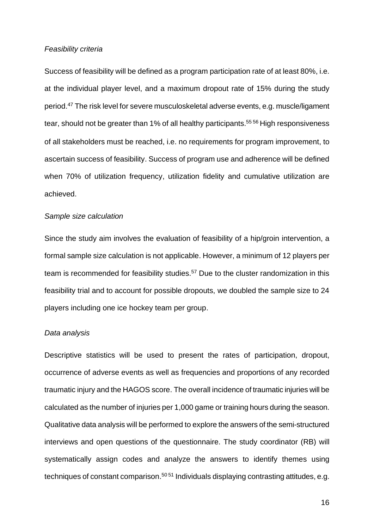#### *Feasibility criteria*

Success of feasibility will be defined as a program participation rate of at least 80%, i.e. at the individual player level, and a maximum dropout rate of 15% during the study period. <sup>47</sup> The risk level for severe musculoskeletal adverse events, e.g. muscle/ligament tear, should not be greater than 1% of all healthy participants. 55 56 High responsiveness of all stakeholders must be reached, i.e. no requirements for program improvement, to ascertain success of feasibility. Success of program use and adherence will be defined when 70% of utilization frequency, utilization fidelity and cumulative utilization are achieved.

#### *Sample size calculation*

Since the study aim involves the evaluation of feasibility of a hip/groin intervention, a formal sample size calculation is not applicable. However, a minimum of 12 players per team is recommended for feasibility studies.<sup>57</sup> Due to the cluster randomization in this feasibility trial and to account for possible dropouts, we doubled the sample size to 24 players including one ice hockey team per group.

#### *Data analysis*

Descriptive statistics will be used to present the rates of participation, dropout, occurrence of adverse events as well as frequencies and proportions of any recorded traumatic injury and the HAGOS score. The overall incidence of traumatic injuries will be calculated as the number of injuries per 1,000 game or training hours during the season. Qualitative data analysis will be performed to explore the answers of the semi-structured interviews and open questions of the questionnaire. The study coordinator (RB) will systematically assign codes and analyze the answers to identify themes using techniques of constant comparison.<sup>50 51</sup> Individuals displaying contrasting attitudes, e.g.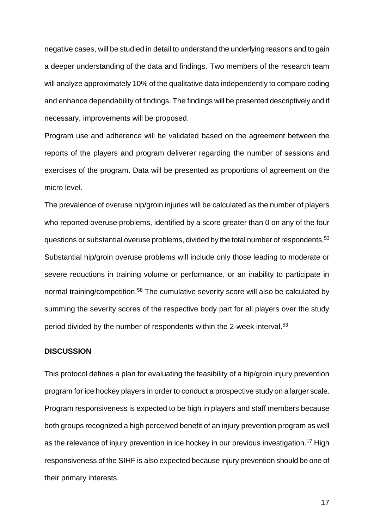negative cases, will be studied in detail to understand the underlying reasons and to gain a deeper understanding of the data and findings. Two members of the research team will analyze approximately 10% of the qualitative data independently to compare coding and enhance dependability of findings. The findings will be presented descriptively and if necessary, improvements will be proposed.

Program use and adherence will be validated based on the agreement between the reports of the players and program deliverer regarding the number of sessions and exercises of the program. Data will be presented as proportions of agreement on the micro level.

The prevalence of overuse hip/groin injuries will be calculated as the number of players who reported overuse problems, identified by a score greater than 0 on any of the four questions or substantial overuse problems, divided by the total number of respondents.<sup>53</sup> Substantial hip/groin overuse problems will include only those leading to moderate or severe reductions in training volume or performance, or an inability to participate in normal training/competition.<sup>58</sup> The cumulative severity score will also be calculated by summing the severity scores of the respective body part for all players over the study period divided by the number of respondents within the 2-week interval.<sup>53</sup>

#### **DISCUSSION**

This protocol defines a plan for evaluating the feasibility of a hip/groin injury prevention program for ice hockey players in order to conduct a prospective study on a larger scale. Program responsiveness is expected to be high in players and staff members because both groups recognized a high perceived benefit of an injury prevention program as well as the relevance of injury prevention in ice hockey in our previous investigation.<sup>17</sup> High responsiveness of the SIHF is also expected because injury prevention should be one of their primary interests.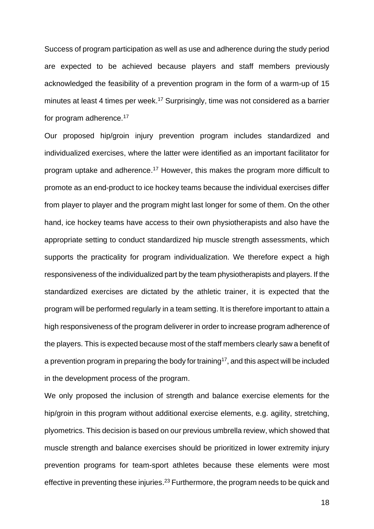Success of program participation as well as use and adherence during the study period are expected to be achieved because players and staff members previously acknowledged the feasibility of a prevention program in the form of a warm-up of 15 minutes at least 4 times per week.<sup>17</sup> Surprisingly, time was not considered as a barrier for program adherence.<sup>17</sup>

Our proposed hip/groin injury prevention program includes standardized and individualized exercises, where the latter were identified as an important facilitator for program uptake and adherence.<sup>17</sup> However, this makes the program more difficult to promote as an end-product to ice hockey teams because the individual exercises differ from player to player and the program might last longer for some of them. On the other hand, ice hockey teams have access to their own physiotherapists and also have the appropriate setting to conduct standardized hip muscle strength assessments, which supports the practicality for program individualization. We therefore expect a high responsiveness of the individualized part by the team physiotherapists and players. If the standardized exercises are dictated by the athletic trainer, it is expected that the program will be performed regularly in a team setting. It is therefore important to attain a high responsiveness of the program deliverer in order to increase program adherence of the players. This is expected because most of the staff members clearly saw a benefit of a prevention program in preparing the body for training<sup>17</sup>, and this aspect will be included in the development process of the program.

We only proposed the inclusion of strength and balance exercise elements for the hip/groin in this program without additional exercise elements, e.g. agility, stretching, plyometrics. This decision is based on our previous umbrella review, which showed that muscle strength and balance exercises should be prioritized in lower extremity injury prevention programs for team-sport athletes because these elements were most effective in preventing these injuries.<sup>23</sup> Furthermore, the program needs to be quick and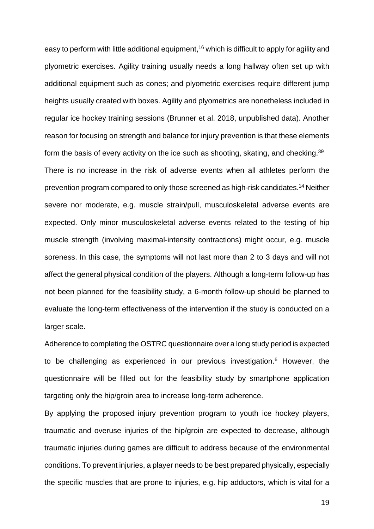easy to perform with little additional equipment,<sup>16</sup> which is difficult to apply for agility and plyometric exercises. Agility training usually needs a long hallway often set up with additional equipment such as cones; and plyometric exercises require different jump heights usually created with boxes. Agility and plyometrics are nonetheless included in regular ice hockey training sessions (Brunner et al. 2018, unpublished data). Another reason for focusing on strength and balance for injury prevention is that these elements form the basis of every activity on the ice such as shooting, skating, and checking.<sup>39</sup> There is no increase in the risk of adverse events when all athletes perform the prevention program compared to only those screened as high-risk candidates. <sup>14</sup> Neither severe nor moderate, e.g. muscle strain/pull, musculoskeletal adverse events are

expected. Only minor musculoskeletal adverse events related to the testing of hip muscle strength (involving maximal-intensity contractions) might occur, e.g. muscle soreness. In this case, the symptoms will not last more than 2 to 3 days and will not affect the general physical condition of the players. Although a long-term follow-up has not been planned for the feasibility study, a 6-month follow-up should be planned to evaluate the long-term effectiveness of the intervention if the study is conducted on a larger scale.

Adherence to completing the OSTRC questionnaire over a long study period is expected to be challenging as experienced in our previous investigation.<sup>6</sup> However, the questionnaire will be filled out for the feasibility study by smartphone application targeting only the hip/groin area to increase long-term adherence.

By applying the proposed injury prevention program to youth ice hockey players, traumatic and overuse injuries of the hip/groin are expected to decrease, although traumatic injuries during games are difficult to address because of the environmental conditions. To prevent injuries, a player needs to be best prepared physically, especially the specific muscles that are prone to injuries, e.g. hip adductors, which is vital for a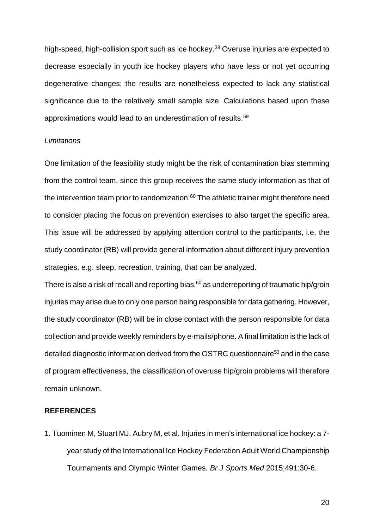high-speed, high-collision sport such as ice hockey. <sup>38</sup> Overuse injuries are expected to decrease especially in youth ice hockey players who have less or not yet occurring degenerative changes; the results are nonetheless expected to lack any statistical significance due to the relatively small sample size. Calculations based upon these approximations would lead to an underestimation of results.<sup>59</sup>

#### *Limitations*

One limitation of the feasibility study might be the risk of contamination bias stemming from the control team, since this group receives the same study information as that of the intervention team prior to randomization. $60$  The athletic trainer might therefore need to consider placing the focus on prevention exercises to also target the specific area. This issue will be addressed by applying attention control to the participants, i.e. the study coordinator (RB) will provide general information about different injury prevention strategies, e.g. sleep, recreation, training, that can be analyzed.

There is also a risk of recall and reporting bias,  $60$  as underreporting of traumatic hip/groin injuries may arise due to only one person being responsible for data gathering. However, the study coordinator (RB) will be in close contact with the person responsible for data collection and provide weekly reminders by e-mails/phone. A final limitation is the lack of detailed diagnostic information derived from the OSTRC questionnaire<sup>53</sup> and in the case of program effectiveness, the classification of overuse hip/groin problems will therefore remain unknown.

#### **REFERENCES**

1. Tuominen M, Stuart MJ, Aubry M, et al. Injuries in men's international ice hockey: a 7 year study of the International Ice Hockey Federation Adult World Championship Tournaments and Olympic Winter Games. *Br J Sports Med* 2015;491:30-6.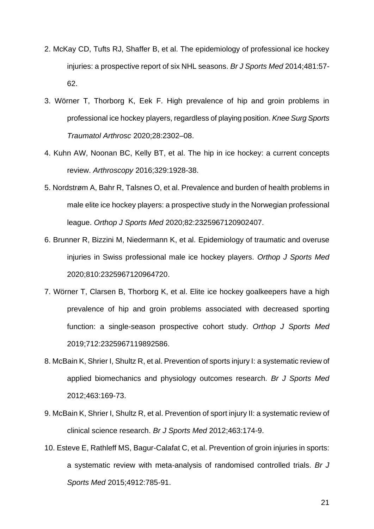- 2. McKay CD, Tufts RJ, Shaffer B, et al. The epidemiology of professional ice hockey injuries: a prospective report of six NHL seasons. *Br J Sports Med* 2014;481:57- 62.
- 3. Wörner T, Thorborg K, Eek F. High prevalence of hip and groin problems in professional ice hockey players, regardless of playing position. *Knee Surg Sports Traumatol Arthrosc* 2020;28:2302–08.
- 4. Kuhn AW, Noonan BC, Kelly BT, et al. The hip in ice hockey: a current concepts review. *Arthroscopy* 2016;329:1928-38.
- 5. Nordstrøm A, Bahr R, Talsnes O, et al. Prevalence and burden of health problems in male elite ice hockey players: a prospective study in the Norwegian professional league. *Orthop J Sports Med* 2020;82:2325967120902407.
- 6. Brunner R, Bizzini M, Niedermann K, et al. Epidemiology of traumatic and overuse injuries in Swiss professional male ice hockey players. *Orthop J Sports Med* 2020;810:2325967120964720.
- 7. Wörner T, Clarsen B, Thorborg K, et al. Elite ice hockey goalkeepers have a high prevalence of hip and groin problems associated with decreased sporting function: a single-season prospective cohort study. *Orthop J Sports Med* 2019;712:2325967119892586.
- 8. McBain K, Shrier I, Shultz R, et al. Prevention of sports injury I: a systematic review of applied biomechanics and physiology outcomes research. *Br J Sports Med* 2012;463:169-73.
- 9. McBain K, Shrier I, Shultz R, et al. Prevention of sport injury II: a systematic review of clinical science research. *Br J Sports Med* 2012;463:174-9.
- 10. Esteve E, Rathleff MS, Bagur-Calafat C, et al. Prevention of groin injuries in sports: a systematic review with meta-analysis of randomised controlled trials. *Br J Sports Med* 2015;4912:785-91.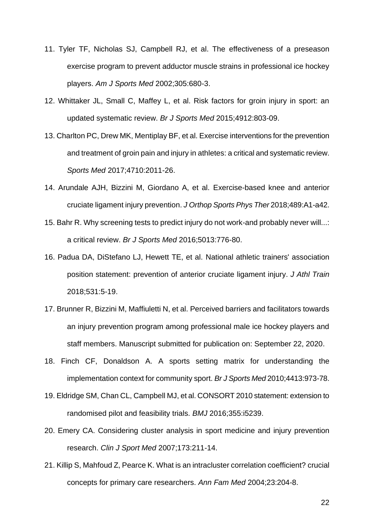- 11. Tyler TF, Nicholas SJ, Campbell RJ, et al. The effectiveness of a preseason exercise program to prevent adductor muscle strains in professional ice hockey players. *Am J Sports Med* 2002;305:680-3.
- 12. Whittaker JL, Small C, Maffey L, et al. Risk factors for groin injury in sport: an updated systematic review. *Br J Sports Med* 2015;4912:803-09.
- 13. Charlton PC, Drew MK, Mentiplay BF, et al. Exercise interventions for the prevention and treatment of groin pain and injury in athletes: a critical and systematic review. *Sports Med* 2017;4710:2011-26.
- 14. Arundale AJH, Bizzini M, Giordano A, et al. Exercise-based knee and anterior cruciate ligament injury prevention. *J Orthop Sports Phys Ther* 2018;489:A1-a42.
- 15. Bahr R. Why screening tests to predict injury do not work-and probably never will...: a critical review. *Br J Sports Med* 2016;5013:776-80.
- 16. Padua DA, DiStefano LJ, Hewett TE, et al. National athletic trainers' association position statement: prevention of anterior cruciate ligament injury. *J Athl Train* 2018;531:5-19.
- 17. Brunner R, Bizzini M, Maffiuletti N, et al. Perceived barriers and facilitators towards an injury prevention program among professional male ice hockey players and staff members. Manuscript submitted for publication on: September 22, 2020.
- 18. Finch CF, Donaldson A. A sports setting matrix for understanding the implementation context for community sport. *Br J Sports Med* 2010;4413:973-78.
- 19. Eldridge SM, Chan CL, Campbell MJ, et al. CONSORT 2010 statement: extension to randomised pilot and feasibility trials. *BMJ* 2016;355:i5239.
- 20. Emery CA. Considering cluster analysis in sport medicine and injury prevention research. *Clin J Sport Med* 2007;173:211-14.
- 21. Killip S, Mahfoud Z, Pearce K. What is an intracluster correlation coefficient? crucial concepts for primary care researchers. *Ann Fam Med* 2004;23:204-8.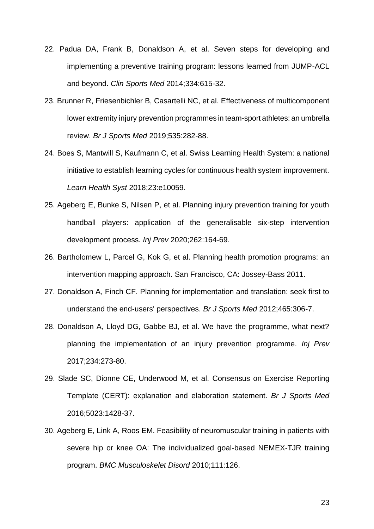- 22. Padua DA, Frank B, Donaldson A, et al. Seven steps for developing and implementing a preventive training program: lessons learned from JUMP-ACL and beyond. *Clin Sports Med* 2014;334:615-32.
- 23. Brunner R, Friesenbichler B, Casartelli NC, et al. Effectiveness of multicomponent lower extremity injury prevention programmes in team-sport athletes: an umbrella review. *Br J Sports Med* 2019;535:282-88.
- 24. Boes S, Mantwill S, Kaufmann C, et al. Swiss Learning Health System: a national initiative to establish learning cycles for continuous health system improvement. *Learn Health Syst* 2018;23:e10059.
- 25. Ageberg E, Bunke S, Nilsen P, et al. Planning injury prevention training for youth handball players: application of the generalisable six-step intervention development process. *Inj Prev* 2020;262:164-69.
- 26. Bartholomew L, Parcel G, Kok G, et al. Planning health promotion programs: an intervention mapping approach. San Francisco, CA: Jossey-Bass 2011.
- 27. Donaldson A, Finch CF. Planning for implementation and translation: seek first to understand the end-users' perspectives. *Br J Sports Med* 2012;465:306-7.
- 28. Donaldson A, Lloyd DG, Gabbe BJ, et al. We have the programme, what next? planning the implementation of an injury prevention programme. *Inj Prev* 2017;234:273-80.
- 29. Slade SC, Dionne CE, Underwood M, et al. Consensus on Exercise Reporting Template (CERT): explanation and elaboration statement. *Br J Sports Med* 2016;5023:1428-37.
- 30. Ageberg E, Link A, Roos EM. Feasibility of neuromuscular training in patients with severe hip or knee OA: The individualized goal-based NEMEX-TJR training program. *BMC Musculoskelet Disord* 2010;111:126.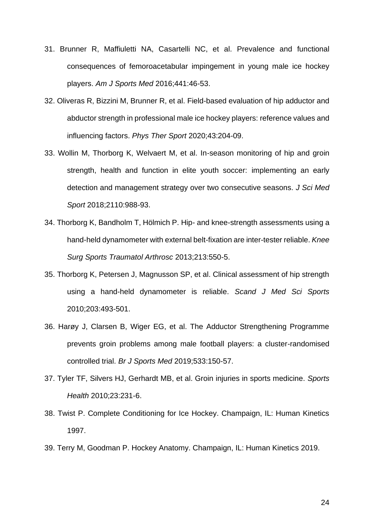- 31. Brunner R, Maffiuletti NA, Casartelli NC, et al. Prevalence and functional consequences of femoroacetabular impingement in young male ice hockey players. *Am J Sports Med* 2016;441:46-53.
- 32. Oliveras R, Bizzini M, Brunner R, et al. Field-based evaluation of hip adductor and abductor strength in professional male ice hockey players: reference values and influencing factors. *Phys Ther Sport* 2020;43:204-09.
- 33. Wollin M, Thorborg K, Welvaert M, et al. In-season monitoring of hip and groin strength, health and function in elite youth soccer: implementing an early detection and management strategy over two consecutive seasons. *J Sci Med Sport* 2018;2110:988-93.
- 34. Thorborg K, Bandholm T, Hölmich P. Hip- and knee-strength assessments using a hand-held dynamometer with external belt-fixation are inter-tester reliable. *Knee Surg Sports Traumatol Arthrosc* 2013;213:550-5.
- 35. Thorborg K, Petersen J, Magnusson SP, et al. Clinical assessment of hip strength using a hand-held dynamometer is reliable. *Scand J Med Sci Sports* 2010;203:493-501.
- 36. Harøy J, Clarsen B, Wiger EG, et al. The Adductor Strengthening Programme prevents groin problems among male football players: a cluster-randomised controlled trial. *Br J Sports Med* 2019;533:150-57.
- 37. Tyler TF, Silvers HJ, Gerhardt MB, et al. Groin injuries in sports medicine. *Sports Health* 2010;23:231-6.
- 38. Twist P. Complete Conditioning for Ice Hockey. Champaign, IL: Human Kinetics 1997.
- 39. Terry M, Goodman P. Hockey Anatomy. Champaign, IL: Human Kinetics 2019.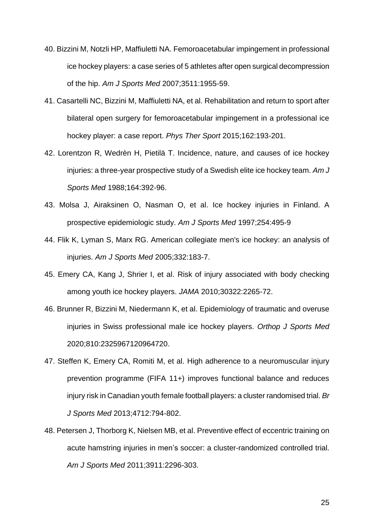- 40. Bizzini M, Notzli HP, Maffiuletti NA. Femoroacetabular impingement in professional ice hockey players: a case series of 5 athletes after open surgical decompression of the hip. *Am J Sports Med* 2007;3511:1955-59.
- 41. Casartelli NC, Bizzini M, Maffiuletti NA, et al. Rehabilitation and return to sport after bilateral open surgery for femoroacetabular impingement in a professional ice hockey player: a case report. *Phys Ther Sport* 2015;162:193-201.
- 42. Lorentzon R, Wedrèn H, Pietilä T. Incidence, nature, and causes of ice hockey injuries: a three-year prospective study of a Swedish elite ice hockey team. *Am J Sports Med* 1988;164:392-96.
- 43. Molsa J, Airaksinen O, Nasman O, et al. Ice hockey injuries in Finland. A prospective epidemiologic study. *Am J Sports Med* 1997;254:495-9
- 44. Flik K, Lyman S, Marx RG. American collegiate men's ice hockey: an analysis of injuries. *Am J Sports Med* 2005;332:183-7.
- 45. Emery CA, Kang J, Shrier I, et al. Risk of injury associated with body checking among youth ice hockey players. *JAMA* 2010;30322:2265-72.
- 46. Brunner R, Bizzini M, Niedermann K, et al. Epidemiology of traumatic and overuse injuries in Swiss professional male ice hockey players. *Orthop J Sports Med* 2020;810:2325967120964720.
- 47. Steffen K, Emery CA, Romiti M, et al. High adherence to a neuromuscular injury prevention programme (FIFA 11+) improves functional balance and reduces injury risk in Canadian youth female football players: a cluster randomised trial. *Br J Sports Med* 2013;4712:794-802.
- 48. Petersen J, Thorborg K, Nielsen MB, et al. Preventive effect of eccentric training on acute hamstring injuries in men's soccer: a cluster-randomized controlled trial. *Am J Sports Med* 2011;3911:2296-303.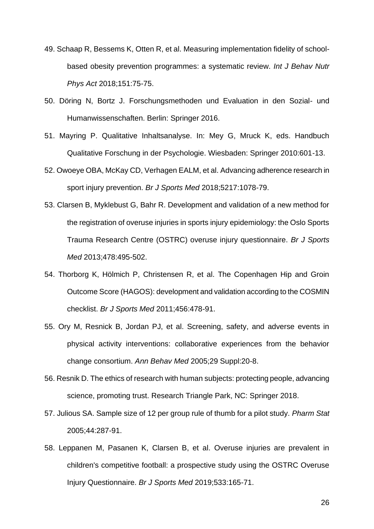- 49. Schaap R, Bessems K, Otten R, et al. Measuring implementation fidelity of schoolbased obesity prevention programmes: a systematic review. *Int J Behav Nutr Phys Act* 2018;151:75-75.
- 50. Döring N, Bortz J. Forschungsmethoden und Evaluation in den Sozial- und Humanwissenschaften. Berlin: Springer 2016.
- 51. Mayring P. Qualitative Inhaltsanalyse. In: Mey G, Mruck K, eds. Handbuch Qualitative Forschung in der Psychologie. Wiesbaden: Springer 2010:601-13.
- 52. Owoeye OBA, McKay CD, Verhagen EALM, et al. Advancing adherence research in sport injury prevention. *Br J Sports Med* 2018;5217:1078-79.
- 53. Clarsen B, Myklebust G, Bahr R. Development and validation of a new method for the registration of overuse injuries in sports injury epidemiology: the Oslo Sports Trauma Research Centre (OSTRC) overuse injury questionnaire. *Br J Sports Med* 2013;478:495-502.
- 54. Thorborg K, Hölmich P, Christensen R, et al. The Copenhagen Hip and Groin Outcome Score (HAGOS): development and validation according to the COSMIN checklist. *Br J Sports Med* 2011;456:478-91.
- 55. Ory M, Resnick B, Jordan PJ, et al. Screening, safety, and adverse events in physical activity interventions: collaborative experiences from the behavior change consortium. *Ann Behav Med* 2005;29 Suppl:20-8.
- 56. Resnik D. The ethics of research with human subjects: protecting people, advancing science, promoting trust. Research Triangle Park, NC: Springer 2018.
- 57. Julious SA. Sample size of 12 per group rule of thumb for a pilot study. *Pharm Stat* 2005;44:287-91.
- 58. Leppanen M, Pasanen K, Clarsen B, et al. Overuse injuries are prevalent in children's competitive football: a prospective study using the OSTRC Overuse Injury Questionnaire. *Br J Sports Med* 2019;533:165-71.